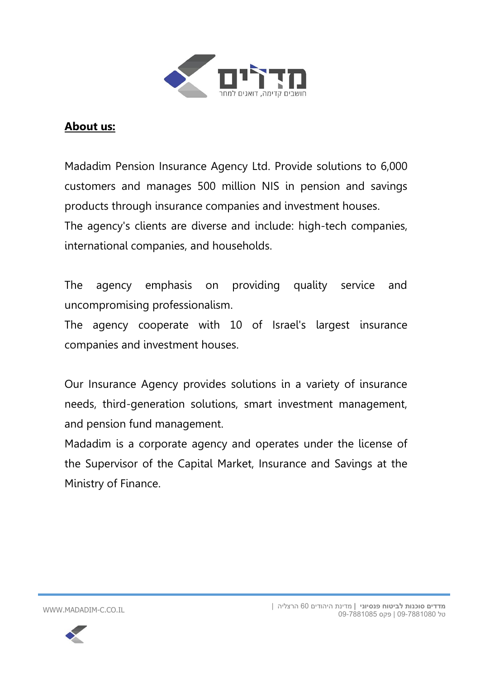

#### **About us :**

Madadim Pension Insurance Agency Ltd. Provide solutions to 6,000 customers and manages 500 million NIS in pension and savings products through insurance companies and investment houses. The agency's clients are diverse and include: high-tech companies, international companies, and households.

The agency emphasis on providing quality service and uncompromising professionalism.

The agency cooperate with 10 of Israel's largest insurance companies and investment houses.

Our Insurance Agency provides solutions in a variety of insurance needs, third-generation solutions, smart investment management, and pension fund management.

Madadim is a corporate agency and operates under the license of the Supervisor of the Capital Market, Insurance and Savings at the Ministry of Finance.

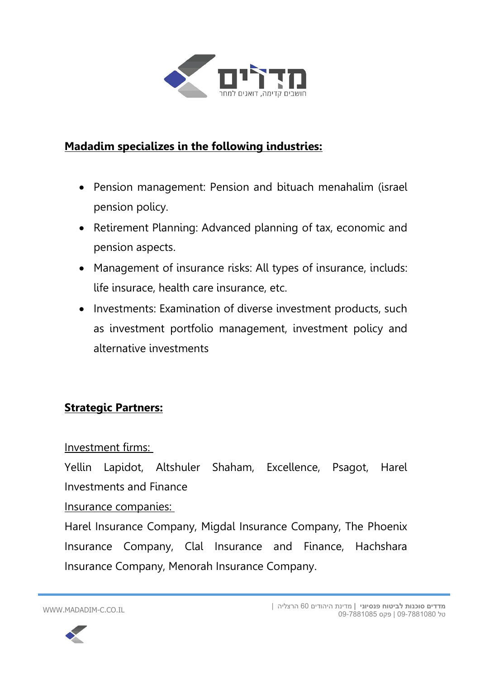

### **Madadim specializes in the following industries :**

- Pension management: Pension and bituach menahalim (israel pension policy.
- Retirement Planning: Advanced planning of tax, economic and pension aspects.
- Management of insurance risks: All types of insurance, includs: life insurace, health care insurance, etc.
- Investments: Examination of diverse investment products, such as investment portfolio management, investment policy and alternative investments

#### **Strategic Partners:**

#### Investment firms:

Yellin Lapidot, Altshuler Shaham, Excellence, Psagot, Harel Investments and Finance

#### Insurance companies:

Harel Insurance Company, Migdal Insurance Company, The Phoenix Insurance Company, Clal Insurance and Finance, Hachshara Insurance Company, Menorah Insurance Company.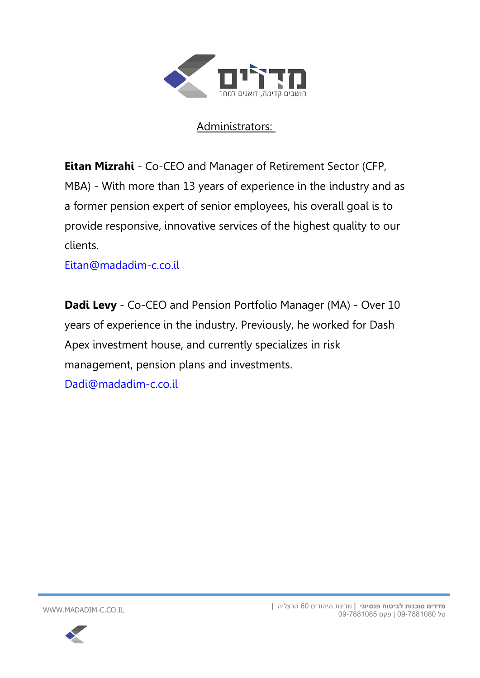

## Administrators:

**Eitan Mizrahi** - Co-CEO and Manager of Retirement Sector (CFP, MBA) - With more than 13 years of experience in the industry and as a former pension expert of senior employees, his overall goal is to provide responsive, innovative services of the highest quality to our clients.

[Eitan@madadim-c.co.il](mailto:Eitan@madadim-c.co.il)

**Dadi Levy** - Co-CEO and Pension Portfolio Manager (MA) - Over 10 years of experience in the industry. Previously, he worked for Dash Apex investment house, and currently specializes in risk management, pension plans and investments. [Dadi@madadim-c.co.il](mailto:Dadi@madadim-c.co.il)

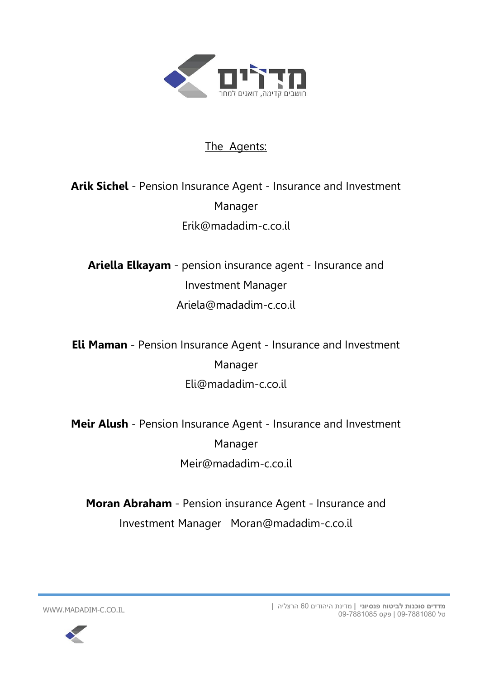

#### The Agents:

## **Arik Sichel** - Pension Insurance Agent - Insurance and Investment Manager Erik@madadim-c.co.il

**Ariella Elkayam** - pension insurance agent - Insurance and Investment Manager Ariela@madadim-c.co.il

**Eli Maman** - Pension Insurance Agent - Insurance and Investment Manager Eli@madadim-c.co.il

**Meir Alush** - Pension Insurance Agent - Insurance and Investment Manager Meir@madadim-c.co.il

**Moran Abraham** - Pension insurance Agent - Insurance and Investment Manager Moran@madadim-c.co.il

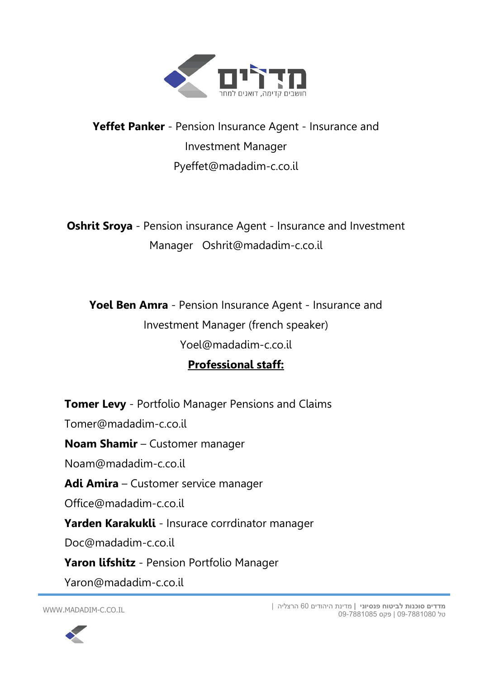

# **Yeffet Panker** - Pension Insurance Agent - Insurance and Investment Manager Pyeffet@madadim-c.co.il

**Oshrit Sroya** - Pension insurance Agent - Insurance and Investment Manager Oshrit@madadim-c.co.il

**Yoel Ben Amra** - Pension Insurance Agent - Insurance and Investment Manager (french speaker) Yoel@madadim-c.co.il

## **Professional staff :**

**Tomer Levy** - Portfolio Manager Pensions and Claims Tomer@madadim-c.co.il **Noam Shamir** – Customer manager Noam@madadim-c.co.il **Adi Amira** – Customer service manager Office@madadim-c.co.il **Yarden Karakukli** - Insurace corrdinator manager Doc@madadim-c.co.il **Yaron lifshitz** - Pension Portfolio Manager Yaron@madadim-c.co.il